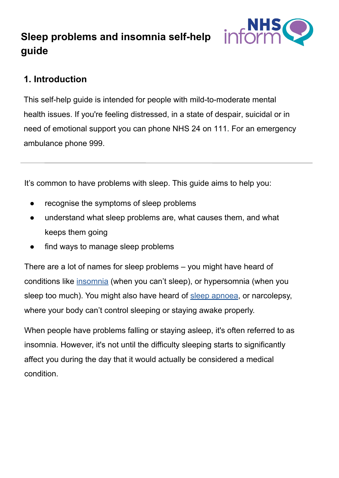# **Sleep problems and insomnia self-help guide**



## **1. Introduction**

This self-help guide is intended for people with mild-to-moderate mental health issues. If you're feeling distressed, in a state of despair, suicidal or in need of emotional support you can phone NHS 24 on 111. For an emergency ambulance phone 999.

It's common to have problems with sleep. This guide aims to help you:

- recognise the symptoms of sleep problems
- understand what sleep problems are, what causes them, and what keeps them going
- find ways to manage sleep problems

There are a lot of names for sleep problems – you might have heard of conditions like [insomnia](https://www.nhsinform.scot/illnesses-and-conditions/mental-health/insomnia) (when you can't sleep), or hypersomnia (when you sleep too much). You might also have heard of [sleep apnoea,](https://www.nhsinform.scot/illnesses-and-conditions/lungs-and-airways/obstructive-sleep-apnoea) or narcolepsy, where your body can't control sleeping or staying awake properly.

When people have problems falling or staying asleep, it's often referred to as insomnia. However, it's not until the difficulty sleeping starts to significantly affect you during the day that it would actually be considered a medical condition.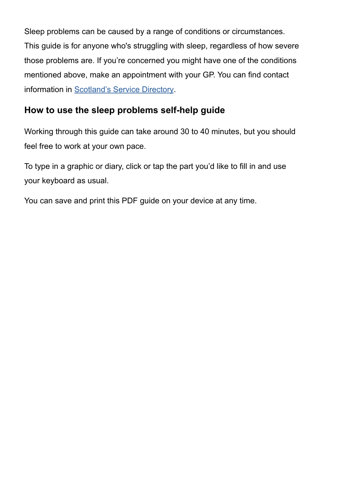Sleep problems can be caused by a range of conditions or circumstances. This guide is for anyone who's struggling with sleep, regardless of how severe those problems are. If you're concerned you might have one of the conditions mentioned above, make an appointment with your GP. You can find contact information in [Scotland's Service Directory.](https://www.nhsinform.scot/scotlands-service-directory/gp-practices)

## **How to use the sleep problems self-help guide**

Working through this guide can take around 30 to 40 minutes, but you should feel free to work at your own pace.

To type in a graphic or diary, click or tap the part you'd like to fill in and use your keyboard as usual.

You can save and print this PDF guide on your device at any time.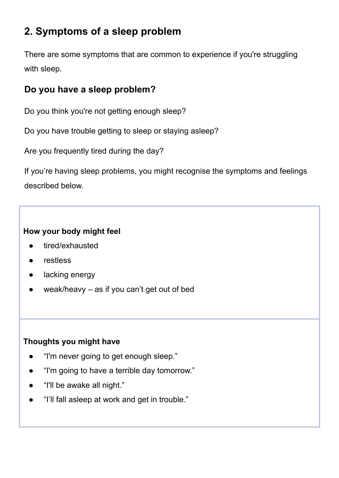# **2. Symptoms of a sleep problem**

There are some symptoms that are common to experience if you're struggling with sleep.

## **Do you have a sleep problem?**

Do you think you're not getting enough sleep?

Do you have trouble getting to sleep or staying asleep?

Are you frequently tired during the day?

If you're having sleep problems, you might recognise the symptoms and feelings described below.

#### **How your body might feel**

- tired/exhausted
- restless
- lacking energy
- weak/heavy  $-$  as if you can't get out of bed

#### **Thoughts you might have**

- "I'm never going to get enough sleep."
- "I'm going to have a terrible day tomorrow."
- "I'll be awake all night."
- "I'll fall asleep at work and get in trouble."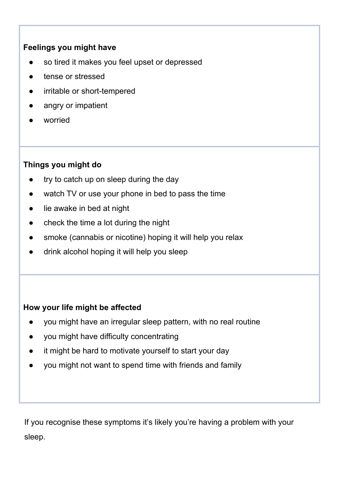#### **Feelings you might have**

- so tired it makes you feel upset or depressed
- tense or stressed
- irritable or short-tempered
- angry or impatient
- worried

#### **Things you might do**

- try to catch up on sleep during the day
- watch TV or use your phone in bed to pass the time
- lie awake in bed at night
- check the time a lot during the night
- smoke (cannabis or nicotine) hoping it will help you relax
- drink alcohol hoping it will help you sleep

#### **How your life might be affected**

- you might have an irregular sleep pattern, with no real routine
- you might have difficulty concentrating
- it might be hard to motivate yourself to start your day
- you might not want to spend time with friends and family

If you recognise these symptoms it's likely you're having a problem with your sleep.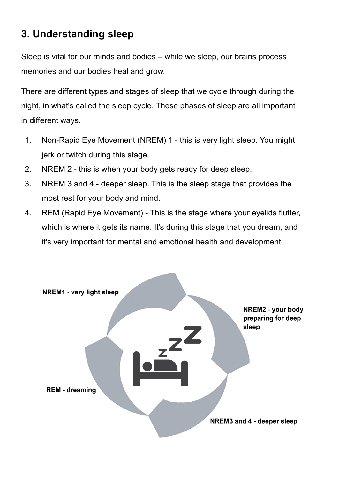# **3. Understanding sleep**

Sleep is vital for our minds and bodies – while we sleep, our brains process memories and our bodies heal and grow.

There are different types and stages of sleep that we cycle through during the night, in what's called the sleep cycle. These phases of sleep are all important in different ways.

- 1. Non-Rapid Eye Movement (NREM) 1 this is very light sleep. You might jerk or twitch during this stage.
- 2. NREM 2 this is when your body gets ready for deep sleep.
- 3. NREM 3 and 4 deeper sleep. This is the sleep stage that provides the most rest for your body and mind.
- 4. REM (Rapid Eye Movement) This is the stage where your eyelids flutter, which is where it gets its name. It's during this stage that you dream, and it's very important for mental and emotional health and development.

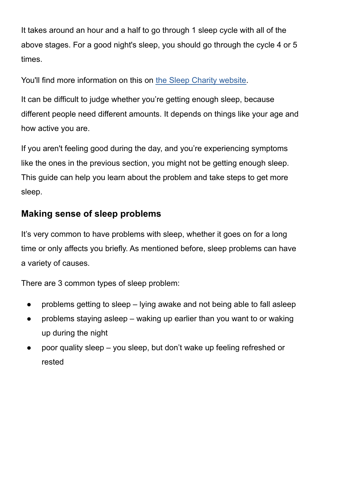It takes around an hour and a half to go through 1 sleep cycle with all of the above stages. For a good night's sleep, you should go through the cycle 4 or 5 times.

You'll find more information on this on [the Sleep C](https://thesleepcharity.org.uk/information-support/adults/sleep-hub/sleep-patterns/)harity website.

It can be difficult to judge whether you're getting enough sleep, because different people need different amounts. It depends on things like your age and how active you are.

If you aren't feeling good during the day, and you're experiencing symptoms like the ones in the previous section, you might not be getting enough sleep. This guide can help you learn about the problem and take steps to get more sleep.

### **Making sense of sleep problems**

It's very common to have problems with sleep, whether it goes on for a long time or only affects you briefly. As mentioned before, sleep problems can have a variety of causes.

There are 3 common types of sleep problem:

- problems getting to sleep lying awake and not being able to fall asleep
- problems staying asleep  $-$  waking up earlier than you want to or waking up during the night
- poor quality sleep you sleep, but don't wake up feeling refreshed or rested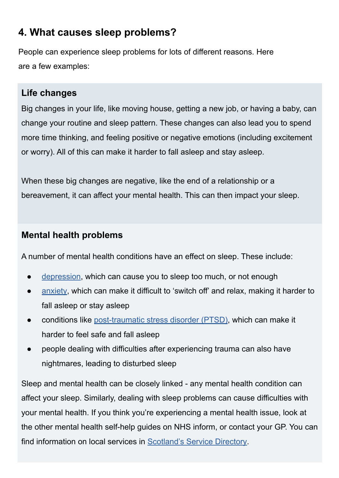# **4. What causes sleep problems?**

People can experience sleep problems for lots of different reasons. Here are a few examples:

### **Life changes**

Big changes in your life, like moving house, getting a new job, or having a baby, can change your routine and sleep pattern. These changes can also lead you to spend more time thinking, and feeling positive or negative emotions (including excitement or worry). All of this can make it harder to fall asleep and stay asleep.

When these big changes are negative, like the end of a relationship or a bereavement, it can affect your mental health. This can then impact your sleep.

### **Mental health problems**

A number of mental health conditions have an effect on sleep. These include:

- [depression,](https://www.nhsinform.scot/illnesses-and-conditions/mental-health/depression) which can cause you to sleep too much, or not enough
- [anxiety,](https://www.nhsinform.scot/illnesses-and-conditions/mental-health/anxiety) which can make it difficult to 'switch off' and relax, making it harder to fall asleep or stay asleep
- conditions like [post-traumatic stress disorder \(PTSD\)](https://www.nhsinform.scot/illnesses-and-conditions/mental-health/post-traumatic-stress-disorder-ptsd), which can make it harder to feel safe and fall asleep
- people dealing with difficulties after experiencing trauma can also have nightmares, leading to disturbed sleep

Sleep and mental health can be closely linked - any mental health condition can affect your sleep. Similarly, dealing with sleep problems can cause difficulties with your mental health. If you think you're experiencing a mental health issue, look at the other mental health self-help guides on NHS inform, or contact your GP. You can find information on local services in [Scotland's Service Directory.](https://www.nhsinform.scot/scotlands-service-directory/health-and-wellbeing-services?sortby=_distance&sortdir=Asc&svctype=15)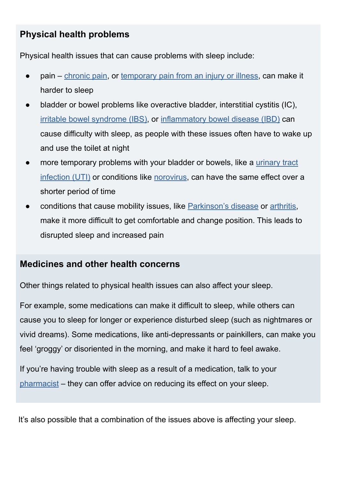## **Physical health problems**

Physical health issues that can cause problems with sleep include:

- pain – [chronic pain,](https://www.nhsinform.scot/illnesses-and-conditions/brain-nerves-and-spinal-cord/chronic-pain) or [temporary pain from an injury or illness,](https://www.nhsinform.scot/illnesses-and-conditions/muscle-bone-and-joints) can make it harder to sleep
- bladder or bowel problems like overactive bladder, interstitial cystitis (IC), [irritable bowel syndrome \(IBS\),](https://www.nhsinform.scot/illnesses-and-conditions/stomach-liver-and-gastrointestinal-tract/irritable-bowel-syndrome-ibs) or [inflammatory bowel disease \(IBD\)](https://www.nhsinform.scot/illnesses-and-conditions/stomach-liver-and-gastrointestinal-tract/crohns-disease) can cause difficulty with sleep, as people with these issues often have to wake up and use the toilet at night
- more temporary problems with your bladder or bowels, like a [urinary tract](https://www.nhsinform.scot/illnesses-and-conditions/kidneys-bladder-and-prostate/urinary-tract-infection-uti) [infection \(UTI\)](https://www.nhsinform.scot/illnesses-and-conditions/kidneys-bladder-and-prostate/urinary-tract-infection-uti) or conditions like [norovirus](https://www.nhsinform.scot/illnesses-and-conditions/infections-and-poisoning/norovirus), can have the same effect over a shorter period of time
- conditions that cause mobility issues, like [Parkinson's disease](https://www.nhsinform.scot/illnesses-and-conditions/brain-nerves-and-spinal-cord/parkinsons-disease) or [arthritis](https://www.nhsinform.scot/illnesses-and-conditions/muscle-bone-and-joints/conditions/arthritis), make it more difficult to get comfortable and change position. This leads to disrupted sleep and increased pain

### **Medicines and other health concerns**

Other things related to physical health issues can also affect your sleep.

For example, some medications can make it difficult to sleep, while others can cause you to sleep for longer or experience disturbed sleep (such as nightmares or vivid dreams). Some medications, like anti-depressants or painkillers, can make you feel 'groggy' or disoriented in the morning, and make it hard to feel awake.

If you're having trouble with sleep as a result of a medication, talk to your [pharmacist](https://www.nhsinform.scot/scotlands-service-directory/pharmacies) – they can offer advice on reducing its effect on your sleep.

It's also possible that a combination of the issues above is affecting your sleep.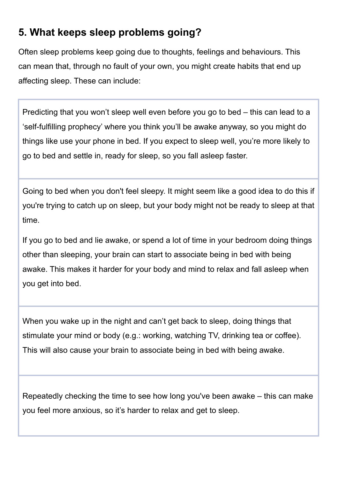# **5. What keeps sleep problems going?**

Often sleep problems keep going due to thoughts, feelings and behaviours. This can mean that, through no fault of your own, you might create habits that end up affecting sleep. These can include:

Predicting that you won't sleep well even before you go to bed – this can lead to a 'self-fulfilling prophecy' where you think you'll be awake anyway, so you might do things like use your phone in bed. If you expect to sleep well, you're more likely to go to bed and settle in, ready for sleep, so you fall asleep faster.

Going to bed when you don't feel sleepy. It might seem like a good idea to do this if you're trying to catch up on sleep, but your body might not be ready to sleep at that time.

If you go to bed and lie awake, or spend a lot of time in your bedroom doing things other than sleeping, your brain can start to associate being in bed with being awake. This makes it harder for your body and mind to relax and fall asleep when you get into bed.

When you wake up in the night and can't get back to sleep, doing things that stimulate your mind or body (e.g.: working, watching TV, drinking tea or coffee). This will also cause your brain to associate being in bed with being awake.

Repeatedly checking the time to see how long you've been awake – this can make you feel more anxious, so it's harder to relax and get to sleep.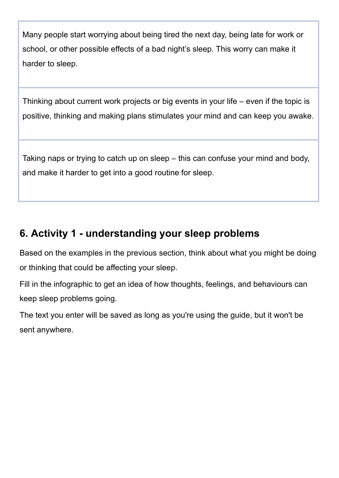Many people start worrying about being tired the next day, being late for work or school, or other possible effects of a bad night's sleep. This worry can make it harder to sleep.

Thinking about current work projects or big events in your life – even if the topic is positive, thinking and making plans stimulates your mind and can keep you awake.

Taking naps or trying to catch up on sleep – this can confuse your mind and body, and make it harder to get into a good routine for sleep.

# **6. Activity 1 - understanding your sleep problems**

Based on the examples in the previous section, think about what you might be doing or thinking that could be affecting your sleep.

Fill in the infographic to get an idea of how thoughts, feelings, and behaviours can keep sleep problems going.

The text you enter will be saved as long as you're using the guide, but it won't be sent anywhere.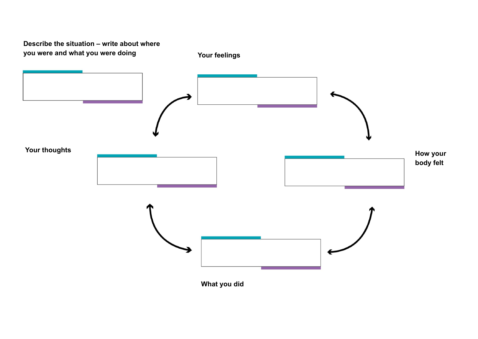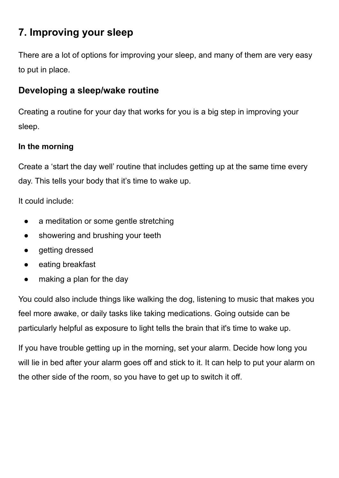# **7. Improving your sleep**

There are a lot of options for improving your sleep, and many of them are very easy to put in place.

## **Developing a sleep/wake routine**

Creating a routine for your day that works for you is a big step in improving your sleep.

#### **In the morning**

Create a 'start the day well' routine that includes getting up at the same time every day. This tells your body that it's time to wake up.

It could include:

- a meditation or some gentle stretching
- showering and brushing your teeth
- getting dressed
- eating breakfast
- making a plan for the day

You could also include things like walking the dog, listening to music that makes you feel more awake, or daily tasks like taking medications. Going outside can be particularly helpful as exposure to light tells the brain that it's time to wake up.

If you have trouble getting up in the morning, set your alarm. Decide how long you will lie in bed after your alarm goes off and stick to it. It can help to put your alarm on the other side of the room, so you have to get up to switch it off.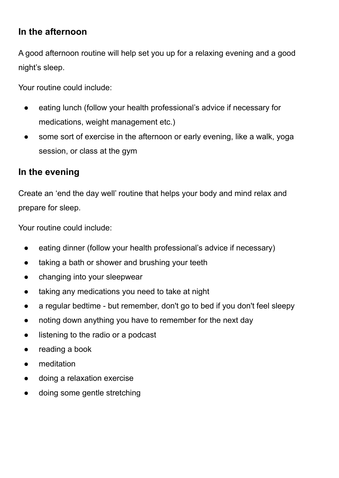## **In the afternoon**

A good afternoon routine will help set you up for a relaxing evening and a good night's sleep.

Your routine could include:

- eating lunch (follow your health professional's advice if necessary for medications, weight management etc.)
- some sort of exercise in the afternoon or early evening, like a walk, yoga session, or class at the gym

### **In the evening**

Create an 'end the day well' routine that helps your body and mind relax and prepare for sleep.

Your routine could include:

- eating dinner (follow your health professional's advice if necessary)
- taking a bath or shower and brushing your teeth
- changing into your sleepwear
- taking any medications you need to take at night
- a regular bedtime but remember, don't go to bed if you don't feel sleepy
- noting down anything you have to remember for the next day
- listening to the radio or a podcast
- reading a book
- meditation
- doing a relaxation exercise
- doing some gentle stretching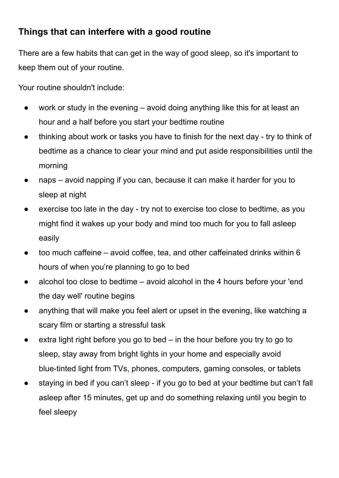# **Things that can interfere with a good routine**

There are a few habits that can get in the way of good sleep, so it's important to keep them out of your routine.

Your routine shouldn't include:

- work or study in the evening avoid doing anything like this for at least an hour and a half before you start your bedtime routine
- thinking about work or tasks you have to finish for the next day try to think of bedtime as a chance to clear your mind and put aside responsibilities until the morning
- naps avoid napping if you can, because it can make it harder for you to sleep at night
- exercise too late in the day try not to exercise too close to bedtime, as you might find it wakes up your body and mind too much for you to fall asleep easily
- $\bullet$  too much caffeine avoid coffee, tea, and other caffeinated drinks within 6 hours of when you're planning to go to bed
- alcohol too close to bedtime  $-$  avoid alcohol in the 4 hours before your 'end the day well' routine begins
- anything that will make you feel alert or upset in the evening, like watching a scary film or starting a stressful task
- $\bullet$  extra light right before you go to bed in the hour before you try to go to sleep, stay away from bright lights in your home and especially avoid blue-tinted light from TVs, phones, computers, gaming consoles, or tablets
- staying in bed if you can't sleep if you go to bed at your bedtime but can't fall asleep after 15 minutes, get up and do something relaxing until you begin to feel sleepy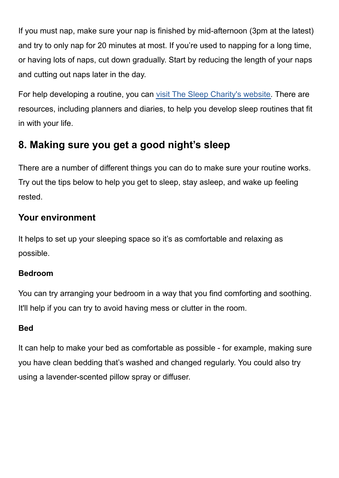If you must nap, make sure your nap is finished by mid-afternoon (3pm at the latest) and try to only nap for 20 minutes at most. If you're used to napping for a long time, or having lots of naps, cut down gradually. Start by reducing the length of your naps and cutting out naps later in the day.

For help developing a routine, you can [visit The Sleep C](https://thesleepcharity.org.uk/)harity's website. There are resources, including planners and diaries, to help you develop sleep routines that fit in with your life.

# **8. Making sure you get a good night's sleep**

There are a number of different things you can do to make sure your routine works. Try out the tips below to help you get to sleep, stay asleep, and wake up feeling rested.

# **Your environment**

It helps to set up your sleeping space so it's as comfortable and relaxing as possible.

#### **Bedroom**

You can try arranging your bedroom in a way that you find comforting and soothing. It'll help if you can try to avoid having mess or clutter in the room.

### **Bed**

It can help to make your bed as comfortable as possible - for example, making sure you have clean bedding that's washed and changed regularly. You could also try using a lavender-scented pillow spray or diffuser.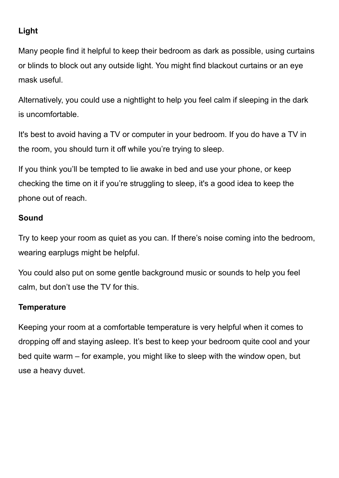### **Light**

Many people find it helpful to keep their bedroom as dark as possible, using curtains or blinds to block out any outside light. You might find blackout curtains or an eye mask useful.

Alternatively, you could use a nightlight to help you feel calm if sleeping in the dark is uncomfortable.

It's best to avoid having a TV or computer in your bedroom. If you do have a TV in the room, you should turn it off while you're trying to sleep.

If you think you'll be tempted to lie awake in bed and use your phone, or keep checking the time on it if you're struggling to sleep, it's a good idea to keep the phone out of reach.

#### **Sound**

Try to keep your room as quiet as you can. If there's noise coming into the bedroom, wearing earplugs might be helpful.

You could also put on some gentle background music or sounds to help you feel calm, but don't use the TV for this.

#### **Temperature**

Keeping your room at a comfortable temperature is very helpful when it comes to dropping off and staying asleep. It's best to keep your bedroom quite cool and your bed quite warm – for example, you might like to sleep with the window open, but use a heavy duvet.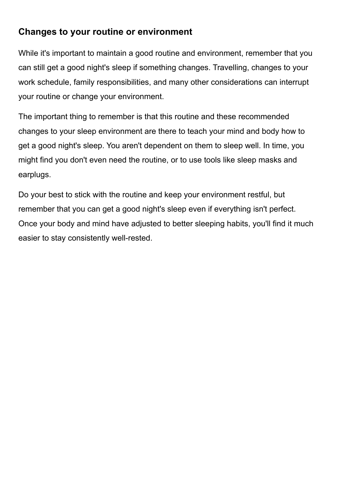## **Changes to your routine or environment**

While it's important to maintain a good routine and environment, remember that you can still get a good night's sleep if something changes. Travelling, changes to your work schedule, family responsibilities, and many other considerations can interrupt your routine or change your environment.

The important thing to remember is that this routine and these recommended changes to your sleep environment are there to teach your mind and body how to get a good night's sleep. You aren't dependent on them to sleep well. In time, you might find you don't even need the routine, or to use tools like sleep masks and earplugs.

Do your best to stick with the routine and keep your environment restful, but remember that you can get a good night's sleep even if everything isn't perfect. Once your body and mind have adjusted to better sleeping habits, you'll find it much easier to stay consistently well-rested.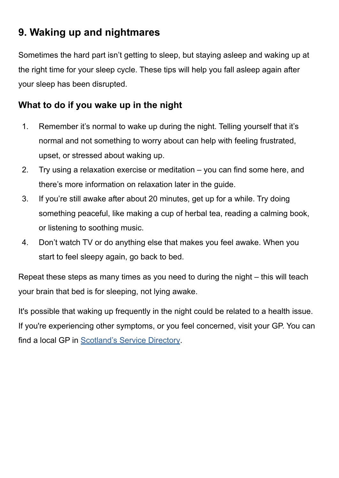# **9. Waking up and nightmares**

Sometimes the hard part isn't getting to sleep, but staying asleep and waking up at the right time for your sleep cycle. These tips will help you fall asleep again after your sleep has been disrupted.

## **What to do if you wake up in the night**

- 1. Remember it's normal to wake up during the night. Telling yourself that it's normal and not something to worry about can help with feeling frustrated, upset, or stressed about waking up.
- 2. Try using a relaxation exercise or meditation you can find some here, and there's more information on relaxation later in the guide.
- 3. If you're still awake after about 20 minutes, get up for a while. Try doing something peaceful, like making a cup of herbal tea, reading a calming book, or listening to soothing music.
- 4. Don't watch TV or do anything else that makes you feel awake. When you start to feel sleepy again, go back to bed.

Repeat these steps as many times as you need to during the night – this will teach your brain that bed is for sleeping, not lying awake.

It's possible that waking up frequently in the night could be related to a health issue. If you're experiencing other symptoms, or you feel concerned, visit your GP. You can find a local GP in [Scotland's Service Directory.](https://www.nhsinform.scot/scotlands-service-directory/gp-practices)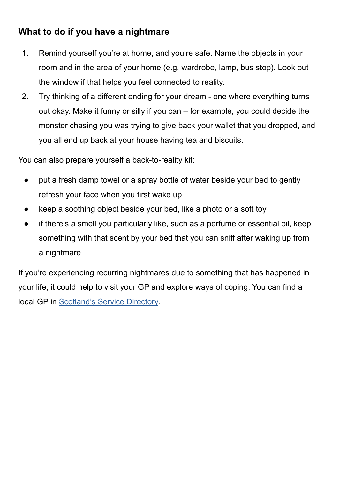# **What to do if you have a nightmare**

- 1. Remind yourself you're at home, and you're safe. Name the objects in your room and in the area of your home (e.g. wardrobe, lamp, bus stop). Look out the window if that helps you feel connected to reality.
- 2. Try thinking of a different ending for your dream one where everything turns out okay. Make it funny or silly if you can – for example, you could decide the monster chasing you was trying to give back your wallet that you dropped, and you all end up back at your house having tea and biscuits.

You can also prepare yourself a back-to-reality kit:

- put a fresh damp towel or a spray bottle of water beside your bed to gently refresh your face when you first wake up
- keep a soothing object beside your bed, like a photo or a soft toy
- if there's a smell you particularly like, such as a perfume or essential oil, keep something with that scent by your bed that you can sniff after waking up from a nightmare

If you're experiencing recurring nightmares due to something that has happened in your life, it could help to visit your GP and explore ways of coping. You can find a local GP in [Scotland's Service Directory](https://www.nhsinform.scot/scotlands-service-directory/gp-practices).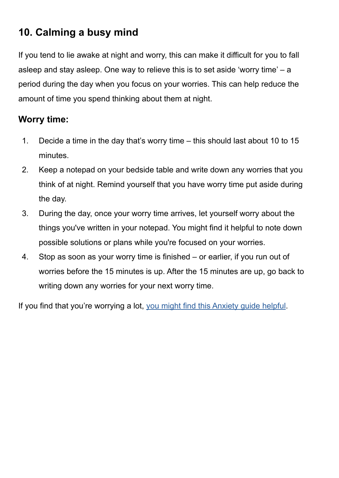# **10. Calming a busy mind**

If you tend to lie awake at night and worry, this can make it difficult for you to fall asleep and stay asleep. One way to relieve this is to set aside 'worry time' – a period during the day when you focus on your worries. This can help reduce the amount of time you spend thinking about them at night.

## **Worry time:**

- 1. Decide a time in the day that's worry time this should last about 10 to 15 minutes.
- 2. Keep a notepad on your bedside table and write down any worries that you think of at night. Remind yourself that you have worry time put aside during the day.
- 3. During the day, once your worry time arrives, let yourself worry about the things you've written in your notepad. You might find it helpful to note down possible solutions or plans while you're focused on your worries.
- 4. Stop as soon as your worry time is finished or earlier, if you run out of worries before the 15 minutes is up. After the 15 minutes are up, go back to writing down any worries for your next worry time.

If you find that you're worrying a lot, [you might find this Anxiety guide helpful](https://www.nhsinform.scot/illnesses-and-conditions/mental-health/mental-health-self-help-guides/anxiety-self-help-guide).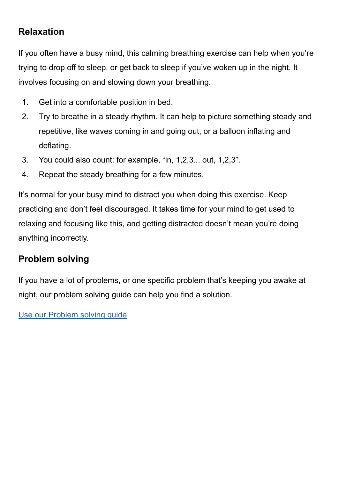## **Relaxation**

If you often have a busy mind, this calming breathing exercise can help when you're trying to drop off to sleep, or get back to sleep if you've woken up in the night. It involves focusing on and slowing down your breathing.

- 1. Get into a comfortable position in bed.
- 2. Try to breathe in a steady rhythm. It can help to picture something steady and repetitive, like waves coming in and going out, or a balloon inflating and deflating.
- 3. You could also count: for example, "in, 1,2,3... out, 1,2,3".
- 4. Repeat the steady breathing for a few minutes.

It's normal for your busy mind to distract you when doing this exercise. Keep practicing and don't feel discouraged. It takes time for your mind to get used to relaxing and focusing like this, and getting distracted doesn't mean you're doing anything incorrectly.

## **Problem solving**

If you have a lot of problems, or one specific problem that's keeping you awake at night, our problem solving guide can help you find a solution.

[Use our Problem solving guide](https://www.nhsinform.scot/illnesses-and-conditions/mental-health/mental-health-self-help-guides/problem-solving-self-help-guide)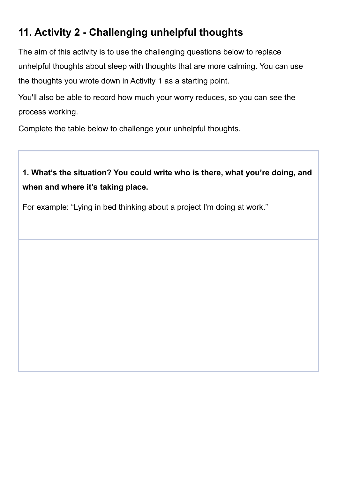# **11. Activity 2 - Challenging unhelpful thoughts**

The aim of this activity is to use the challenging questions below to replace unhelpful thoughts about sleep with thoughts that are more calming. You can use the thoughts you wrote down in Activity 1 as a starting point.

You'll also be able to record how much your worry reduces, so you can see the process working.

Complete the table below to challenge your unhelpful thoughts.

# **1. What's the situation? You could write who is there, what you're doing, and when and where it's taking place.**

For example: "Lying in bed thinking about a project I'm doing at work."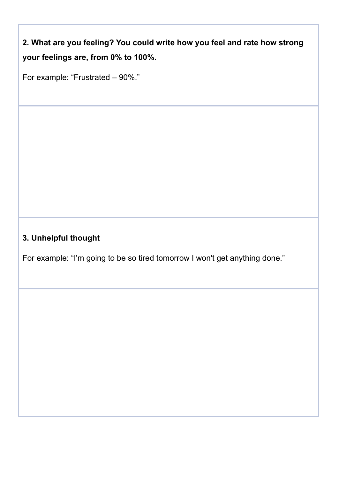**2. What are you feeling? You could write how you feel and rate how strong your feelings are, from 0% to 100%.**

For example: "Frustrated – 90%."

# **3. Unhelpful thought**

For example: "I'm going to be so tired tomorrow I won't get anything done."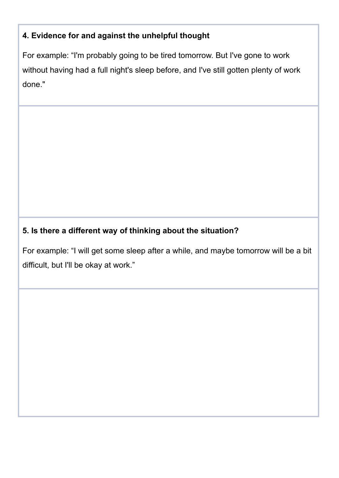### **4. Evidence for and against the unhelpful thought**

For example: "I'm probably going to be tired tomorrow. But I've gone to work without having had a full night's sleep before, and I've still gotten plenty of work done."

### **5. Is there a different way of thinking about the situation?**

For example: "I will get some sleep after a while, and maybe tomorrow will be a bit difficult, but I'll be okay at work."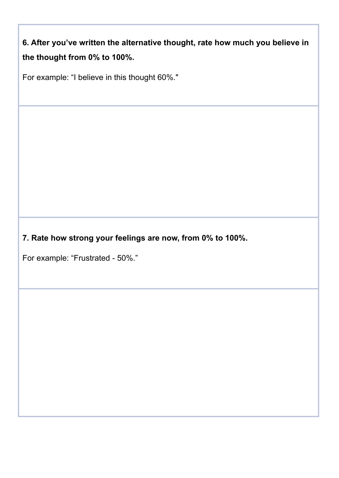**6. After you've written the alternative thought, rate how much you believe in the thought from 0% to 100%.**

For example: "I believe in this thought 60%."

**7. Rate how strong your feelings are now, from 0% to 100%.**

For example: "Frustrated - 50%."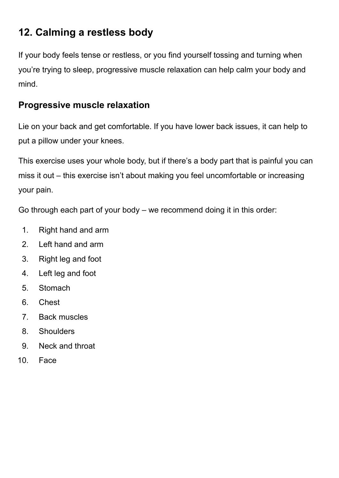# **12. Calming a restless body**

If your body feels tense or restless, or you find yourself tossing and turning when you're trying to sleep, progressive muscle relaxation can help calm your body and mind.

## **Progressive muscle relaxation**

Lie on your back and get comfortable. If you have lower back issues, it can help to put a pillow under your knees.

This exercise uses your whole body, but if there's a body part that is painful you can miss it out – this exercise isn't about making you feel uncomfortable or increasing your pain.

Go through each part of your body – we recommend doing it in this order:

- 1. Right hand and arm
- 2. Left hand and arm
- 3. Right leg and foot
- 4. Left leg and foot
- 5. Stomach
- 6. Chest
- 7. Back muscles
- 8. Shoulders
- 9. Neck and throat
- 10. Face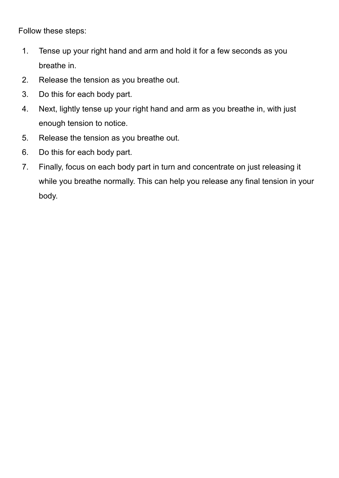Follow these steps:

- 1. Tense up your right hand and arm and hold it for a few seconds as you breathe in.
- 2. Release the tension as you breathe out.
- 3. Do this for each body part.
- 4. Next, lightly tense up your right hand and arm as you breathe in, with just enough tension to notice.
- 5. Release the tension as you breathe out.
- 6. Do this for each body part.
- 7. Finally, focus on each body part in turn and concentrate on just releasing it while you breathe normally. This can help you release any final tension in your body.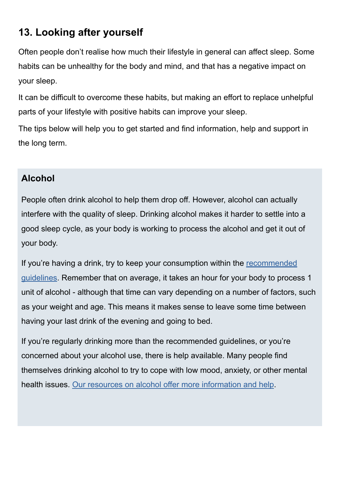# **13. Looking after yourself**

Often people don't realise how much their lifestyle in general can affect sleep. Some habits can be unhealthy for the body and mind, and that has a negative impact on your sleep.

It can be difficult to overcome these habits, but making an effort to replace unhelpful parts of your lifestyle with positive habits can improve your sleep.

The tips below will help you to get started and find information, help and support in the long term.

# **Alcohol**

People often drink alcohol to help them drop off. However, alcohol can actually interfere with the quality of sleep. Drinking alcohol makes it harder to settle into a good sleep cycle, as your body is working to process the alcohol and get it out of your body.

If you're having a drink, try to keep your consumption within the [recommended](https://www.nhsinform.scot/healthy-living/alcohol/how-does-my-drinking-add-up) [guidelines](https://www.nhsinform.scot/healthy-living/alcohol/how-does-my-drinking-add-up). Remember that on average, it takes an hour for your body to process 1 unit of alcohol - although that time can vary depending on a number of factors, such as your weight and age. This means it makes sense to leave some time between having your last drink of the evening and going to bed.

If you're regularly drinking more than the recommended guidelines, or you're concerned about your alcohol use, there is help available. Many people find themselves drinking alcohol to try to cope with low mood, anxiety, or other mental health issues. [Our resources on alcohol offer more information and help](https://www.nhsinform.scot/healthy-living/alcohol).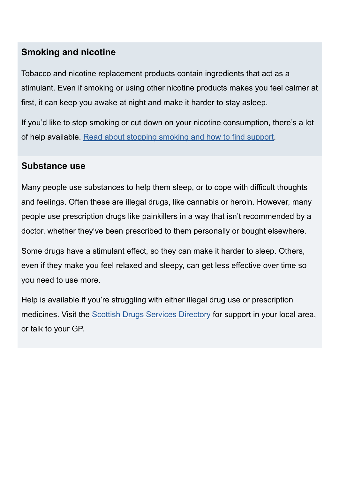### **Smoking and nicotine**

Tobacco and nicotine replacement products contain ingredients that act as a stimulant. Even if smoking or using other nicotine products makes you feel calmer at first, it can keep you awake at night and make it harder to stay asleep.

If you'd like to stop smoking or cut down on your nicotine consumption, there's a lot of help available. [Read about stopping smoking and how to find support.](https://www.nhsinform.scot/healthy-living/stopping-smoking)

### **Substance use**

Many people use substances to help them sleep, or to cope with difficult thoughts and feelings. Often these are illegal drugs, like cannabis or heroin. However, many people use prescription drugs like painkillers in a way that isn't recommended by a doctor, whether they've been prescribed to them personally or bought elsewhere.

Some drugs have a stimulant effect, so they can make it harder to sleep. Others, even if they make you feel relaxed and sleepy, can get less effective over time so you need to use more.

Help is available if you're struggling with either illegal drug use or prescription medicines. Visit the **Scottish Drugs Services Directory** for support in your local area, or talk to your GP.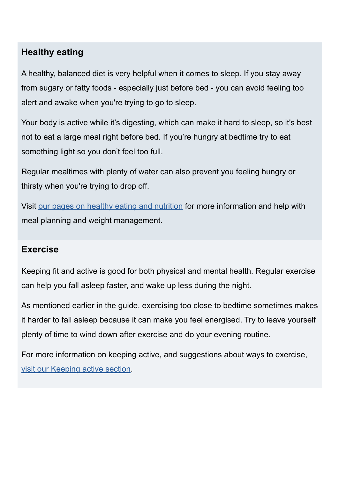### **Healthy eating**

A healthy, balanced diet is very helpful when it comes to sleep. If you stay away from sugary or fatty foods - especially just before bed - you can avoid feeling too alert and awake when you're trying to go to sleep.

Your body is active while it's digesting, which can make it hard to sleep, so it's best not to eat a large meal right before bed. If you're hungry at bedtime try to eat something light so you don't feel too full.

Regular mealtimes with plenty of water can also prevent you feeling hungry or thirsty when you're trying to drop off.

Visit [our pages on healthy eating and nutrition](https://www.nhsinform.scot/healthy-living/food-and-nutrition) for more information and help with meal planning and weight management.

### **Exercise**

Keeping fit and active is good for both physical and mental health. Regular exercise can help you fall asleep faster, and wake up less during the night.

As mentioned earlier in the guide, exercising too close to bedtime sometimes makes it harder to fall asleep because it can make you feel energised. Try to leave yourself plenty of time to wind down after exercise and do your evening routine.

For more information on keeping active, and suggestions about ways to exercise, [visit our Keeping active section.](https://www.nhsinform.scot/healthy-living/keeping-active)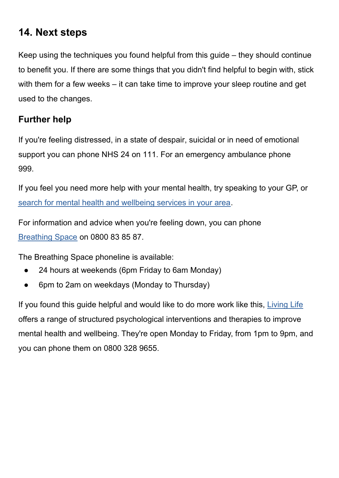# **14. Next steps**

Keep using the techniques you found helpful from this guide – they should continue to benefit you. If there are some things that you didn't find helpful to begin with, stick with them for a few weeks – it can take time to improve your sleep routine and get used to the changes.

## **Further help**

If you're feeling distressed, in a state of despair, suicidal or in need of emotional support you can phone NHS 24 on 111. For an emergency ambulance phone 999.

If you feel you need more help with your mental health, try speaking to your GP, or [search for mental health and wellbeing services in your area](https://www.nhsinform.scot/scotlands-service-directory/health-and-wellbeing-services?sortdir=Asc&svctype=15).

For information and advice when you're feeling down, you can phone [Breathing Space](https://breathingspace.scot/) on 0800 83 85 87.

The Breathing Space phoneline is available:

- 24 hours at weekends (6pm Friday to 6am Monday)
- 6pm to 2am on weekdays (Monday to Thursday)

If you found this guide helpful and would like to do more work like this, [Living Life](https://breathingspace.scot/living-life/) offers a range of structured psychological interventions and therapies to improve mental health and wellbeing. They're open Monday to Friday, from 1pm to 9pm, and you can phone them on 0800 328 9655.